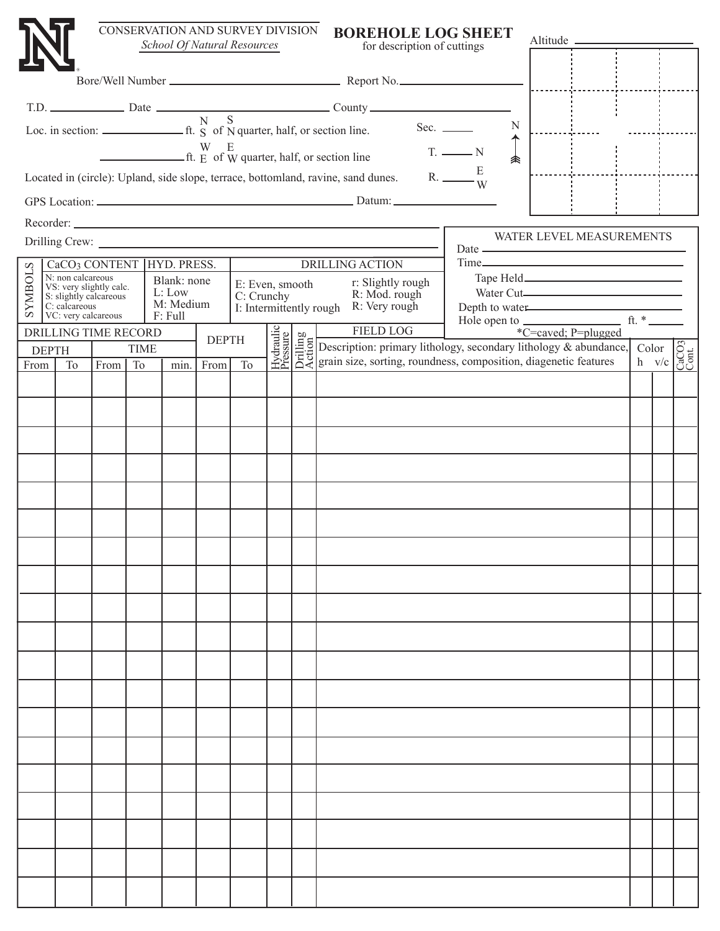|                |              |                                        |                                                   |                               | CONSERVATION AND SURVEY DIVISION      |              | School Of Natural Resources   |  | <b>BOREHOLE LOG SHEET</b><br>for description of cuttings                                                                                                                                                                                                                                                  |                               | Altitude —                                                     |  |                                                                                                                                                                                                            |
|----------------|--------------|----------------------------------------|---------------------------------------------------|-------------------------------|---------------------------------------|--------------|-------------------------------|--|-----------------------------------------------------------------------------------------------------------------------------------------------------------------------------------------------------------------------------------------------------------------------------------------------------------|-------------------------------|----------------------------------------------------------------|--|------------------------------------------------------------------------------------------------------------------------------------------------------------------------------------------------------------|
|                |              |                                        |                                                   |                               |                                       |              |                               |  |                                                                                                                                                                                                                                                                                                           |                               |                                                                |  |                                                                                                                                                                                                            |
|                |              |                                        |                                                   |                               |                                       |              |                               |  |                                                                                                                                                                                                                                                                                                           |                               |                                                                |  |                                                                                                                                                                                                            |
|                |              |                                        |                                                   |                               |                                       |              |                               |  |                                                                                                                                                                                                                                                                                                           |                               |                                                                |  |                                                                                                                                                                                                            |
|                |              |                                        |                                                   |                               |                                       |              |                               |  | T.D. $\frac{D \text{.}}{D \text{.}}$ Date $\frac{N}{N}$ S County $\frac{N}{N}$ S County $\frac{N}{N}$ S County $\frac{N}{N}$ Sec. $\frac{N}{N}$ Sec. $\frac{N}{N}$                                                                                                                                        | N                             |                                                                |  |                                                                                                                                                                                                            |
|                |              |                                        |                                                   |                               |                                       |              |                               |  | $\begin{array}{c}\nW & E \\ \hline\n\end{array}$ E of W quarter, half, or section line                                                                                                                                                                                                                    | $T.$ $\longrightarrow N$<br>余 |                                                                |  |                                                                                                                                                                                                            |
|                |              |                                        |                                                   |                               |                                       |              |                               |  | Located in (circle): Upland, side slope, terrace, bottomland, ravine, sand dunes.                                                                                                                                                                                                                         | R. $\frac{E}{W}$              |                                                                |  |                                                                                                                                                                                                            |
|                |              |                                        |                                                   |                               |                                       |              |                               |  |                                                                                                                                                                                                                                                                                                           |                               |                                                                |  |                                                                                                                                                                                                            |
|                |              |                                        |                                                   |                               |                                       |              |                               |  |                                                                                                                                                                                                                                                                                                           |                               |                                                                |  |                                                                                                                                                                                                            |
|                |              |                                        |                                                   |                               |                                       |              |                               |  |                                                                                                                                                                                                                                                                                                           |                               | WATER LEVEL MEASUREMENTS                                       |  |                                                                                                                                                                                                            |
|                |              |                                        |                                                   |                               | CaCO <sub>3</sub> CONTENT HYD. PRESS. |              |                               |  | <b>DRILLING ACTION</b>                                                                                                                                                                                                                                                                                    |                               |                                                                |  |                                                                                                                                                                                                            |
| <b>SYMBOLS</b> |              | N: non calcareous                      | VS: very slightly calc.<br>S: slightly calcareous |                               | Blank: none<br>L: Low                 |              | E: Even, smooth<br>C: Crunchy |  | r: Slightly rough<br>R: Mod. rough                                                                                                                                                                                                                                                                        |                               | Water Cut                                                      |  |                                                                                                                                                                                                            |
|                |              | $C:$ calcareous<br>VC: very calcareous |                                                   |                               | M: Medium<br>F: Full                  |              | I: Intermittently rough       |  | R: Very rough                                                                                                                                                                                                                                                                                             |                               | Depth to water                                                 |  |                                                                                                                                                                                                            |
|                |              |                                        |                                                   | <b>DRILLING TIME RECORD</b>   |                                       | <b>DEPTH</b> |                               |  |                                                                                                                                                                                                                                                                                                           |                               | Hole open to $\frac{1}{\text{c} = \text{caved}}$ $\text{R. *}$ |  |                                                                                                                                                                                                            |
| From           | <b>DEPTH</b> | <b>To</b>                              | From                                              | <b>TIME</b><br>T <sub>o</sub> | min.                                  | From         | T <sub>o</sub>                |  | FIELD LOG<br>FIELD LOG<br>The Description: primary lithology, secondary lithology & abundance,<br>$\frac{1}{2}$<br>$\frac{1}{2}$<br>$\frac{1}{2}$<br>$\frac{1}{2}$<br>$\frac{1}{2}$<br>$\frac{1}{2}$<br>$\frac{1}{2}$<br>$\frac{1}{2}$<br>$\frac{1}{2}$<br>$\frac{1}{2}$<br>$\frac{1}{2}$<br>$\frac{1}{2$ |                               |                                                                |  | $\begin{array}{c c}\n\text{Color} & \stackrel{\text{O}}{\bigcirc} & \stackrel{\text{I}}{\bigcirc} \\ \text{h} & \text{v/c} & \stackrel{\text{O}}{\bigcirc} & \stackrel{\text{I}}{\bigcirc} \\ \end{array}$ |
|                |              |                                        |                                                   |                               |                                       |              |                               |  |                                                                                                                                                                                                                                                                                                           |                               |                                                                |  |                                                                                                                                                                                                            |
|                |              |                                        |                                                   |                               |                                       |              |                               |  |                                                                                                                                                                                                                                                                                                           |                               |                                                                |  |                                                                                                                                                                                                            |
|                |              |                                        |                                                   |                               |                                       |              |                               |  |                                                                                                                                                                                                                                                                                                           |                               |                                                                |  |                                                                                                                                                                                                            |
|                |              |                                        |                                                   |                               |                                       |              |                               |  |                                                                                                                                                                                                                                                                                                           |                               |                                                                |  |                                                                                                                                                                                                            |
|                |              |                                        |                                                   |                               |                                       |              |                               |  |                                                                                                                                                                                                                                                                                                           |                               |                                                                |  |                                                                                                                                                                                                            |
|                |              |                                        |                                                   |                               |                                       |              |                               |  |                                                                                                                                                                                                                                                                                                           |                               |                                                                |  |                                                                                                                                                                                                            |
|                |              |                                        |                                                   |                               |                                       |              |                               |  |                                                                                                                                                                                                                                                                                                           |                               |                                                                |  |                                                                                                                                                                                                            |
|                |              |                                        |                                                   |                               |                                       |              |                               |  |                                                                                                                                                                                                                                                                                                           |                               |                                                                |  |                                                                                                                                                                                                            |
|                |              |                                        |                                                   |                               |                                       |              |                               |  |                                                                                                                                                                                                                                                                                                           |                               |                                                                |  |                                                                                                                                                                                                            |
|                |              |                                        |                                                   |                               |                                       |              |                               |  |                                                                                                                                                                                                                                                                                                           |                               |                                                                |  |                                                                                                                                                                                                            |
|                |              |                                        |                                                   |                               |                                       |              |                               |  |                                                                                                                                                                                                                                                                                                           |                               |                                                                |  |                                                                                                                                                                                                            |
|                |              |                                        |                                                   |                               |                                       |              |                               |  |                                                                                                                                                                                                                                                                                                           |                               |                                                                |  |                                                                                                                                                                                                            |
|                |              |                                        |                                                   |                               |                                       |              |                               |  |                                                                                                                                                                                                                                                                                                           |                               |                                                                |  |                                                                                                                                                                                                            |
|                |              |                                        |                                                   |                               |                                       |              |                               |  |                                                                                                                                                                                                                                                                                                           |                               |                                                                |  |                                                                                                                                                                                                            |
|                |              |                                        |                                                   |                               |                                       |              |                               |  |                                                                                                                                                                                                                                                                                                           |                               |                                                                |  |                                                                                                                                                                                                            |
|                |              |                                        |                                                   |                               |                                       |              |                               |  |                                                                                                                                                                                                                                                                                                           |                               |                                                                |  |                                                                                                                                                                                                            |
|                |              |                                        |                                                   |                               |                                       |              |                               |  |                                                                                                                                                                                                                                                                                                           |                               |                                                                |  |                                                                                                                                                                                                            |
|                |              |                                        |                                                   |                               |                                       |              |                               |  |                                                                                                                                                                                                                                                                                                           |                               |                                                                |  |                                                                                                                                                                                                            |
|                |              |                                        |                                                   |                               |                                       |              |                               |  |                                                                                                                                                                                                                                                                                                           |                               |                                                                |  |                                                                                                                                                                                                            |
|                |              |                                        |                                                   |                               |                                       |              |                               |  |                                                                                                                                                                                                                                                                                                           |                               |                                                                |  |                                                                                                                                                                                                            |
|                |              |                                        |                                                   |                               |                                       |              |                               |  |                                                                                                                                                                                                                                                                                                           |                               |                                                                |  |                                                                                                                                                                                                            |
|                |              |                                        |                                                   |                               |                                       |              |                               |  |                                                                                                                                                                                                                                                                                                           |                               |                                                                |  |                                                                                                                                                                                                            |
|                |              |                                        |                                                   |                               |                                       |              |                               |  |                                                                                                                                                                                                                                                                                                           |                               |                                                                |  |                                                                                                                                                                                                            |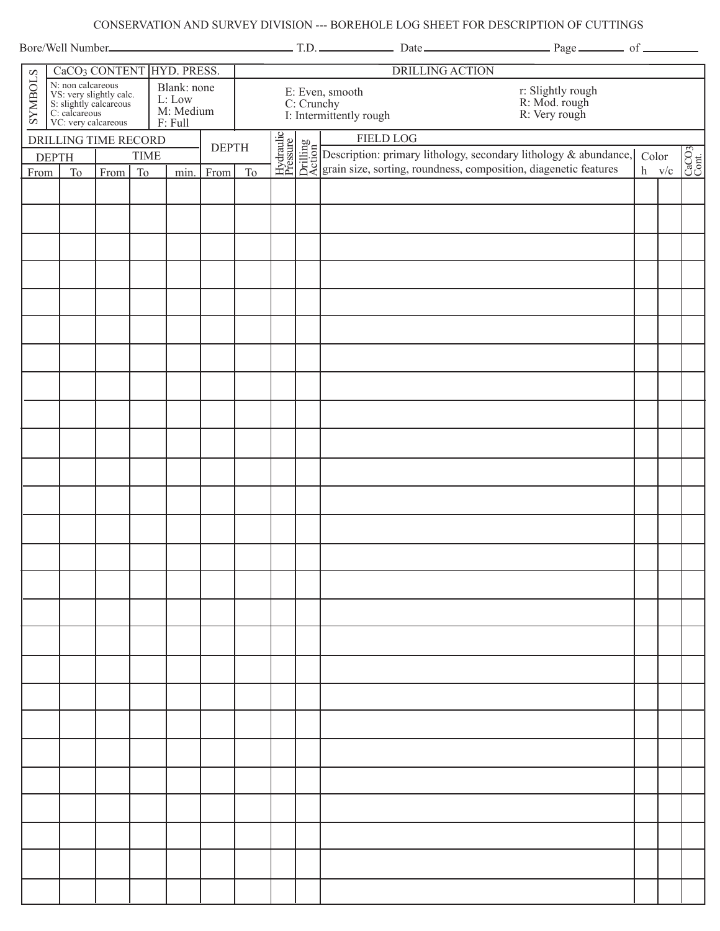## CONSERVATION AND SURVEY DIVISION --- BOREHOLE LOG SHEET FOR DESCRIPTION OF CUTTINGS

|                                                                                                                                                        | CaCO <sub>3</sub> CONTENT HYD. PRESS.               |                                                           |              |                |                                                                                                                 |  |                                                                                                                                                                                        |  | <b>DRILLING ACTION</b> |         |                                                              |  |  |
|--------------------------------------------------------------------------------------------------------------------------------------------------------|-----------------------------------------------------|-----------------------------------------------------------|--------------|----------------|-----------------------------------------------------------------------------------------------------------------|--|----------------------------------------------------------------------------------------------------------------------------------------------------------------------------------------|--|------------------------|---------|--------------------------------------------------------------|--|--|
| <b>SYMBOLS</b><br>New Contract<br>N's non calcareous<br>NS: very slightly calcareous<br>S: slightly calcareous<br>C: calcareous<br>VC: very calcareous |                                                     | Blank: none<br>L: Low<br>M: Medium<br>$\mathbf{F}$ : Full |              |                | r: Slightly rough<br>R: Mod. rough<br>R: Very rough<br>E: Even, smooth<br>C: Crunchy<br>I: Intermittently rough |  |                                                                                                                                                                                        |  |                        |         |                                                              |  |  |
|                                                                                                                                                        | DRILLING TIME RECORD                                |                                                           | <b>DEPTH</b> |                |                                                                                                                 |  | FIELD LOG<br>HELD LOG<br>HALLES Description: primary lithology, secondary lithology & abundance,<br>$\Xi$ $\Xi$ $\Xi$ grain size, sorting, roundness, composition, diagenetic features |  |                        |         |                                                              |  |  |
|                                                                                                                                                        | <b>TIME</b><br><b>DEPTH</b>                         |                                                           |              |                |                                                                                                                 |  |                                                                                                                                                                                        |  | Color                  |         | $\begin{bmatrix} \text{CaCO3} \\ \text{Cont.} \end{bmatrix}$ |  |  |
| From                                                                                                                                                   | From<br>T <sub>o</sub><br>From<br><b>To</b><br>min. |                                                           |              | T <sub>o</sub> |                                                                                                                 |  |                                                                                                                                                                                        |  |                        | $h$ v/c |                                                              |  |  |
|                                                                                                                                                        |                                                     |                                                           |              |                |                                                                                                                 |  |                                                                                                                                                                                        |  |                        |         |                                                              |  |  |
|                                                                                                                                                        |                                                     |                                                           |              |                |                                                                                                                 |  |                                                                                                                                                                                        |  |                        |         |                                                              |  |  |
|                                                                                                                                                        |                                                     |                                                           |              |                |                                                                                                                 |  |                                                                                                                                                                                        |  |                        |         |                                                              |  |  |
|                                                                                                                                                        |                                                     |                                                           |              |                |                                                                                                                 |  |                                                                                                                                                                                        |  |                        |         |                                                              |  |  |
|                                                                                                                                                        |                                                     |                                                           |              |                |                                                                                                                 |  |                                                                                                                                                                                        |  |                        |         |                                                              |  |  |
|                                                                                                                                                        |                                                     |                                                           |              |                |                                                                                                                 |  |                                                                                                                                                                                        |  |                        |         |                                                              |  |  |
|                                                                                                                                                        |                                                     |                                                           |              |                |                                                                                                                 |  |                                                                                                                                                                                        |  |                        |         |                                                              |  |  |
|                                                                                                                                                        |                                                     |                                                           |              |                |                                                                                                                 |  |                                                                                                                                                                                        |  |                        |         |                                                              |  |  |
|                                                                                                                                                        |                                                     |                                                           |              |                |                                                                                                                 |  |                                                                                                                                                                                        |  |                        |         |                                                              |  |  |
|                                                                                                                                                        |                                                     |                                                           |              |                |                                                                                                                 |  |                                                                                                                                                                                        |  |                        |         |                                                              |  |  |
|                                                                                                                                                        |                                                     |                                                           |              |                |                                                                                                                 |  |                                                                                                                                                                                        |  |                        |         |                                                              |  |  |
|                                                                                                                                                        |                                                     |                                                           |              |                |                                                                                                                 |  |                                                                                                                                                                                        |  |                        |         |                                                              |  |  |
|                                                                                                                                                        |                                                     |                                                           |              |                |                                                                                                                 |  |                                                                                                                                                                                        |  |                        |         |                                                              |  |  |
|                                                                                                                                                        |                                                     |                                                           |              |                |                                                                                                                 |  |                                                                                                                                                                                        |  |                        |         |                                                              |  |  |
|                                                                                                                                                        |                                                     |                                                           |              |                |                                                                                                                 |  |                                                                                                                                                                                        |  |                        |         |                                                              |  |  |
|                                                                                                                                                        |                                                     |                                                           |              |                |                                                                                                                 |  |                                                                                                                                                                                        |  |                        |         |                                                              |  |  |
|                                                                                                                                                        |                                                     |                                                           |              |                |                                                                                                                 |  |                                                                                                                                                                                        |  |                        |         |                                                              |  |  |
|                                                                                                                                                        |                                                     |                                                           |              |                |                                                                                                                 |  |                                                                                                                                                                                        |  |                        |         |                                                              |  |  |
|                                                                                                                                                        |                                                     |                                                           |              |                |                                                                                                                 |  |                                                                                                                                                                                        |  |                        |         |                                                              |  |  |
|                                                                                                                                                        |                                                     |                                                           |              |                |                                                                                                                 |  |                                                                                                                                                                                        |  |                        |         |                                                              |  |  |
|                                                                                                                                                        |                                                     |                                                           |              |                |                                                                                                                 |  |                                                                                                                                                                                        |  |                        |         |                                                              |  |  |
|                                                                                                                                                        |                                                     |                                                           |              |                |                                                                                                                 |  |                                                                                                                                                                                        |  |                        |         |                                                              |  |  |
|                                                                                                                                                        |                                                     |                                                           |              |                |                                                                                                                 |  |                                                                                                                                                                                        |  |                        |         |                                                              |  |  |
|                                                                                                                                                        |                                                     |                                                           |              |                |                                                                                                                 |  |                                                                                                                                                                                        |  |                        |         |                                                              |  |  |
|                                                                                                                                                        |                                                     |                                                           |              |                |                                                                                                                 |  |                                                                                                                                                                                        |  |                        |         |                                                              |  |  |
|                                                                                                                                                        |                                                     |                                                           |              |                |                                                                                                                 |  |                                                                                                                                                                                        |  |                        |         |                                                              |  |  |